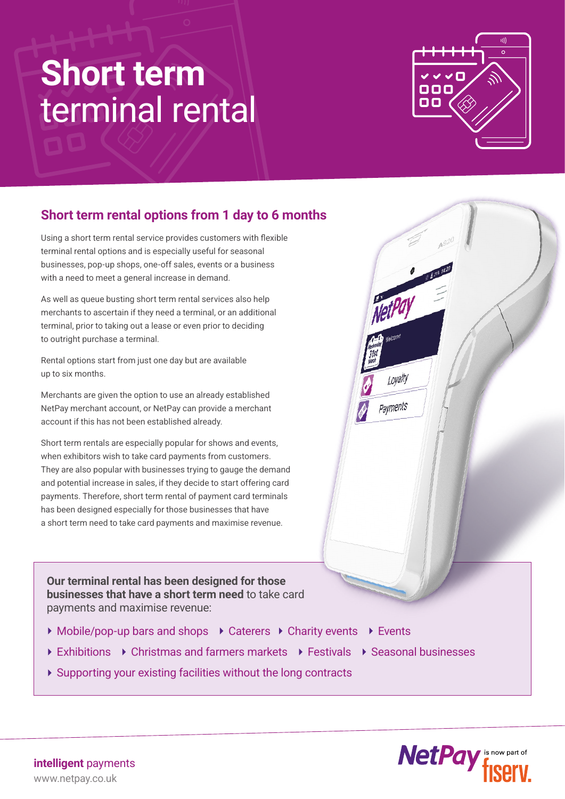## **Short term** terminal rental



Loyalty

Payments

## **Short term rental options from 1 day to 6 months**

Using a short term rental service provides customers with flexible terminal rental options and is especially useful for seasonal businesses, pop-up shops, one-off sales, events or a business with a need to meet a general increase in demand.

As well as queue busting short term rental services also help merchants to ascertain if they need a terminal, or an additional terminal, prior to taking out a lease or even prior to deciding to outright purchase a terminal.

Rental options start from just one day but are available up to six months.

Merchants are given the option to use an already established NetPay merchant account, or NetPay can provide a merchant account if this has not been established already.

Short term rentals are especially popular for shows and events, when exhibitors wish to take card payments from customers. They are also popular with businesses trying to gauge the demand and potential increase in sales, if they decide to start offering card payments. Therefore, short term rental of payment card terminals has been designed especially for those businesses that have a short term need to take card payments and maximise revenue.

**Our terminal rental has been designed for those businesses that have a short term need** to take card payments and maximise revenue:

- ▶ Mobile/pop-up bars and shops ▶ Caterers ▶ Charity events ▶ Events
- ▶ Exhibitions ▶ Christmas and farmers markets ▶ Festivals ▶ Seasonal businesses
- Supporting your existing facilities without the long contracts



www.netpay.co.uk **intelligent** payments